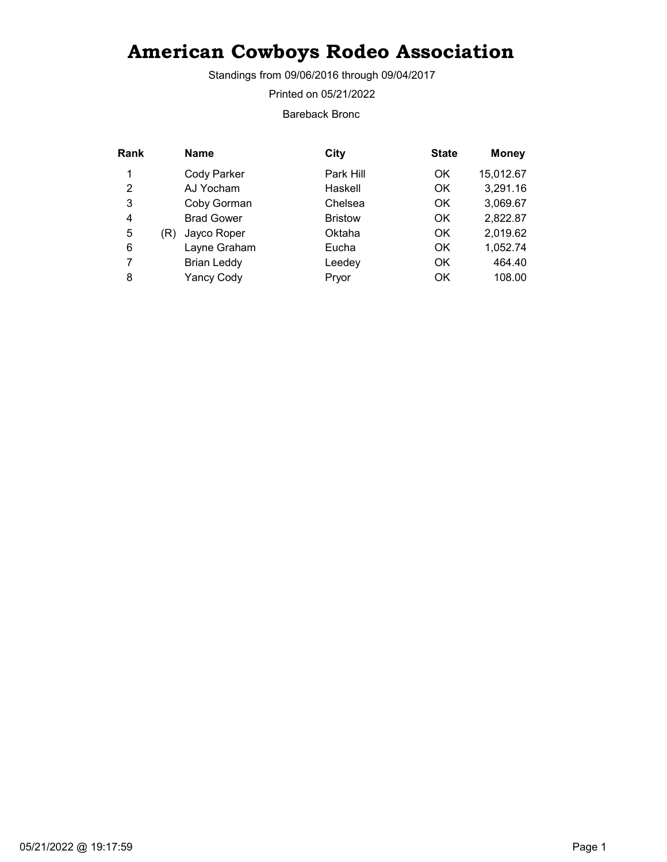Standings from 09/06/2016 through 09/04/2017

Printed on 05/21/2022

Bareback Bronc

| Rank | <b>Name</b>        | City           | <b>State</b> | <b>Money</b> |
|------|--------------------|----------------|--------------|--------------|
| 1    | Cody Parker        | Park Hill      | OK           | 15,012.67    |
| 2    | AJ Yocham          | Haskell        | OK           | 3,291.16     |
| 3    | Coby Gorman        | Chelsea        | OK           | 3,069.67     |
| 4    | <b>Brad Gower</b>  | <b>Bristow</b> | OK           | 2,822.87     |
| 5    | Jayco Roper<br>(R) | Oktaha         | OK           | 2,019.62     |
| 6    | Layne Graham       | Eucha          | OK           | 1,052.74     |
| 7    | <b>Brian Leddy</b> | Leedey         | OK           | 464.40       |
| 8    | <b>Yancy Cody</b>  | Pryor          | OK           | 108.00       |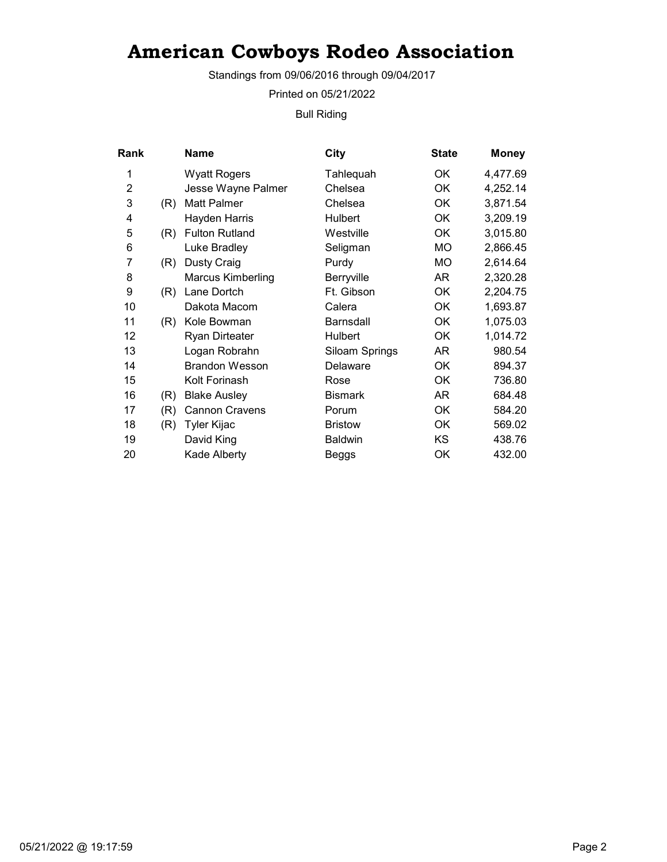Standings from 09/06/2016 through 09/04/2017

Printed on 05/21/2022

Bull Riding

| <b>Rank</b>    |     | Name                     | City           | <b>State</b> | <b>Money</b> |
|----------------|-----|--------------------------|----------------|--------------|--------------|
| 1              |     | <b>Wyatt Rogers</b>      | Tahlequah      | ОK           | 4,477.69     |
| $\overline{2}$ |     | Jesse Wayne Palmer       | Chelsea        | <b>OK</b>    | 4,252.14     |
| 3              | (R) | Matt Palmer              | Chelsea        | ОK           | 3,871.54     |
| 4              |     | Hayden Harris            | Hulbert        | OK           | 3,209.19     |
| 5              | (R) | <b>Fulton Rutland</b>    | Westville      | OK           | 3,015.80     |
| 6              |     | Luke Bradley             | Seligman       | MO.          | 2,866.45     |
| 7              | (R) | <b>Dusty Craig</b>       | Purdy          | MO           | 2,614.64     |
| 8              |     | <b>Marcus Kimberling</b> | Berryville     | AR           | 2,320.28     |
| 9              | (R) | Lane Dortch              | Ft. Gibson     | ОK           | 2,204.75     |
| 10             |     | Dakota Macom             | Calera         | OK           | 1,693.87     |
| 11             | (R) | Kole Bowman              | Barnsdall      | OK           | 1,075.03     |
| 12             |     | <b>Ryan Dirteater</b>    | Hulbert        | OK           | 1,014.72     |
| 13             |     | Logan Robrahn            | Siloam Springs | AR           | 980.54       |
| 14             |     | <b>Brandon Wesson</b>    | Delaware       | OK           | 894.37       |
| 15             |     | Kolt Forinash            | Rose           | ОK           | 736.80       |
| 16             | (R) | <b>Blake Ausley</b>      | <b>Bismark</b> | AR           | 684.48       |
| 17             | (R) | <b>Cannon Cravens</b>    | Porum          | OK           | 584.20       |
| 18             | (R) | Tyler Kijac              | <b>Bristow</b> | ОK           | 569.02       |
| 19             |     | David King               | Baldwin        | KS           | 438.76       |
| 20             |     | Kade Alberty             | Beggs          | OK           | 432.00       |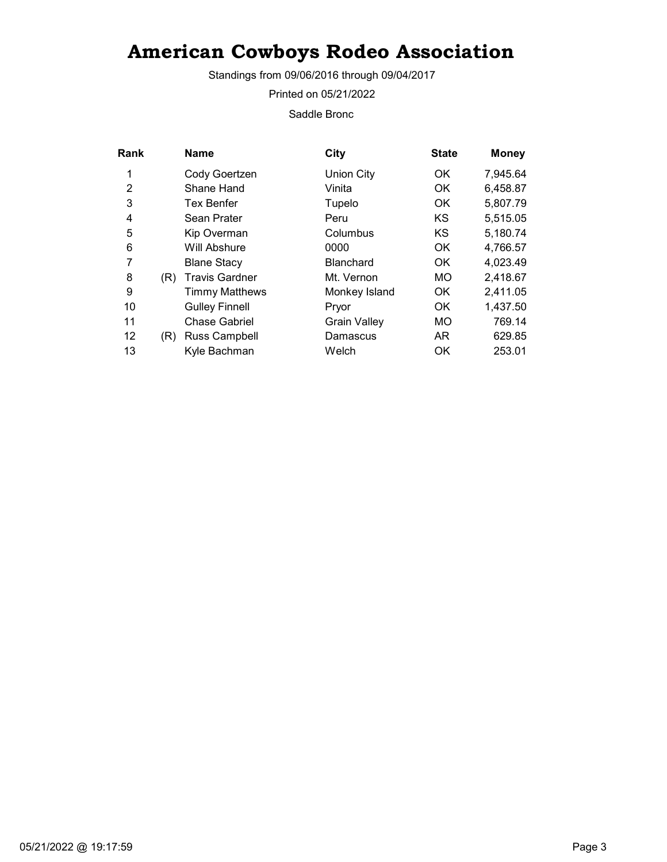Standings from 09/06/2016 through 09/04/2017

Printed on 05/21/2022

Saddle Bronc

| Rank |     | <b>Name</b>           | City                | <b>State</b> | <b>Money</b> |
|------|-----|-----------------------|---------------------|--------------|--------------|
| 1    |     | Cody Goertzen         | <b>Union City</b>   | OK.          | 7,945.64     |
| 2    |     | Shane Hand            | Vinita              | OK.          | 6,458.87     |
| 3    |     | <b>Tex Benfer</b>     | Tupelo              | OK.          | 5,807.79     |
| 4    |     | Sean Prater           | Peru                | <b>KS</b>    | 5,515.05     |
| 5    |     | Kip Overman           | Columbus            | <b>KS</b>    | 5,180.74     |
| 6    |     | Will Abshure          | 0000                | OK.          | 4,766.57     |
| 7    |     | <b>Blane Stacy</b>    | <b>Blanchard</b>    | OK.          | 4,023.49     |
| 8    | (R) | <b>Travis Gardner</b> | Mt. Vernon          | MO           | 2,418.67     |
| 9    |     | <b>Timmy Matthews</b> | Monkey Island       | OK.          | 2,411.05     |
| 10   |     | <b>Gulley Finnell</b> | Pryor               | OK.          | 1,437.50     |
| 11   |     | <b>Chase Gabriel</b>  | <b>Grain Valley</b> | MO           | 769.14       |
| 12   | (R) | <b>Russ Campbell</b>  | Damascus            | AR.          | 629.85       |
| 13   |     | Kyle Bachman          | Welch               | OK           | 253.01       |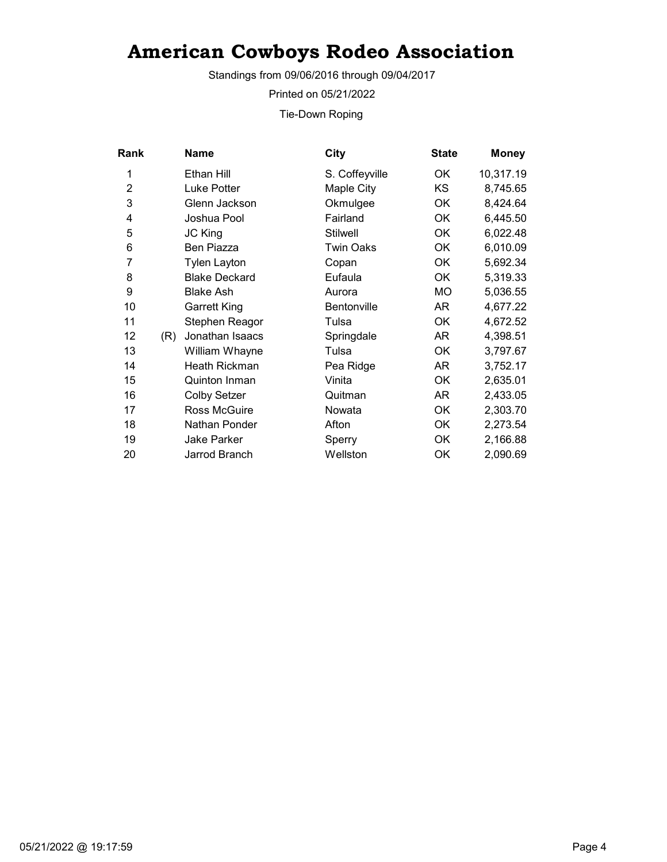Standings from 09/06/2016 through 09/04/2017

Printed on 05/21/2022

Tie-Down Roping

| Rank           |     | Name                 | <b>City</b>        | <b>State</b> |           | <b>Money</b> |
|----------------|-----|----------------------|--------------------|--------------|-----------|--------------|
| 1              |     | Ethan Hill           | S. Coffeyville     | OK           | 10,317.19 |              |
| $\overline{2}$ |     | Luke Potter          | Maple City         | KS           |           | 8,745.65     |
| 3              |     | Glenn Jackson        | Okmulgee           | OK           |           | 8,424.64     |
| 4              |     | Joshua Pool          | Fairland           | OK           |           | 6,445.50     |
| 5              |     | JC King              | <b>Stilwell</b>    | OK           |           | 6,022.48     |
| 6              |     | Ben Piazza           | <b>Twin Oaks</b>   | OK           |           | 6,010.09     |
| 7              |     | <b>Tylen Layton</b>  | Copan              | OK           |           | 5,692.34     |
| 8              |     | <b>Blake Deckard</b> | Eufaula            | OK           |           | 5,319.33     |
| 9              |     | <b>Blake Ash</b>     | Aurora             | MO           |           | 5,036.55     |
| 10             |     | <b>Garrett King</b>  | <b>Bentonville</b> | AR           |           | 4,677.22     |
| 11             |     | Stephen Reagor       | Tulsa              | OK           |           | 4,672.52     |
| 12             | (R) | Jonathan Isaacs      | Springdale         | AR           |           | 4,398.51     |
| 13             |     | William Whayne       | Tulsa              | 0K           |           | 3,797.67     |
| 14             |     | Heath Rickman        | Pea Ridge          | AR           |           | 3,752.17     |
| 15             |     | <b>Quinton Inman</b> | Vinita             | OK           |           | 2,635.01     |
| 16             |     | <b>Colby Setzer</b>  | Quitman            | AR           |           | 2,433.05     |
| 17             |     | Ross McGuire         | Nowata             | OK           |           | 2,303.70     |
| 18             |     | Nathan Ponder        | Afton              | OK           |           | 2,273.54     |
| 19             |     | Jake Parker          | Sperry             | OK           |           | 2,166.88     |
| 20             |     | Jarrod Branch        | Wellston           | OK           |           | 2,090.69     |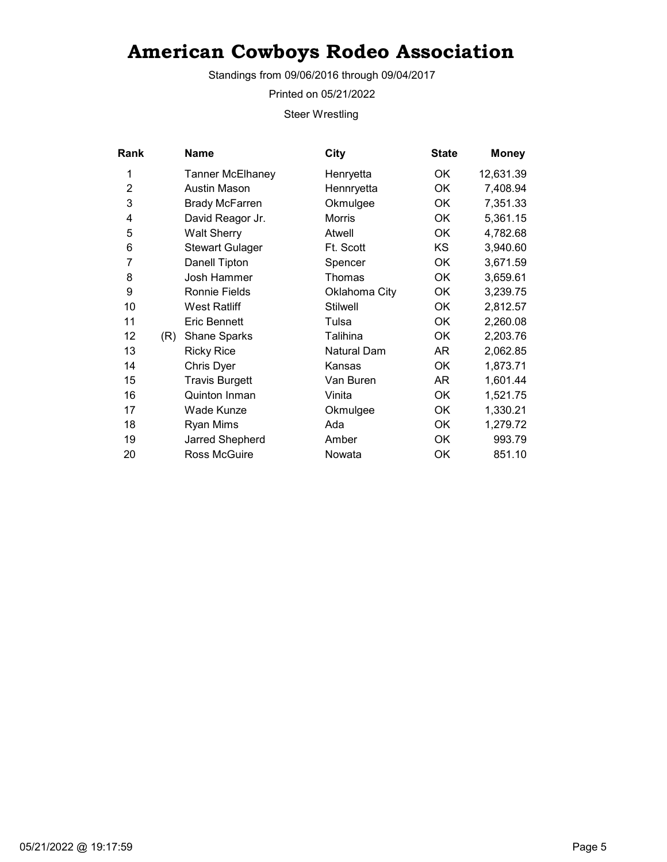Standings from 09/06/2016 through 09/04/2017

Printed on 05/21/2022

Steer Wrestling

| <b>Rank</b>    |     | <b>Name</b>             | City               | <b>State</b> | <b>Money</b> |
|----------------|-----|-------------------------|--------------------|--------------|--------------|
| 1              |     | <b>Tanner McElhaney</b> | Henryetta          | ОK           | 12,631.39    |
| $\overline{c}$ |     | Austin Mason            | Hennryetta         | OK           | 7,408.94     |
| 3              |     | <b>Brady McFarren</b>   | Okmulgee           | OK           | 7,351.33     |
| 4              |     | David Reagor Jr.        | Morris             | ОK           | 5,361.15     |
| 5              |     | <b>Walt Sherry</b>      | Atwell             | ОK           | 4,782.68     |
| 6              |     | <b>Stewart Gulager</b>  | Ft. Scott          | KS           | 3,940.60     |
| 7              |     | Danell Tipton           | Spencer            | ОK           | 3,671.59     |
| 8              |     | Josh Hammer             | Thomas             | <b>OK</b>    | 3,659.61     |
| 9              |     | Ronnie Fields           | Oklahoma City      | OK           | 3,239.75     |
| 10             |     | <b>West Ratliff</b>     | <b>Stilwell</b>    | ОK           | 2,812.57     |
| 11             |     | <b>Eric Bennett</b>     | Tulsa              | ОK           | 2,260.08     |
| 12             | (R) | Shane Sparks            | Talihina           | ОK           | 2,203.76     |
| 13             |     | <b>Ricky Rice</b>       | <b>Natural Dam</b> | AR           | 2,062.85     |
| 14             |     | Chris Dyer              | Kansas             | OK           | 1,873.71     |
| 15             |     | <b>Travis Burgett</b>   | Van Buren          | AR           | 1,601.44     |
| 16             |     | Quinton Inman           | Vinita             | <b>OK</b>    | 1,521.75     |
| 17             |     | Wade Kunze              | Okmulgee           | <b>OK</b>    | 1,330.21     |
| 18             |     | Ryan Mims               | Ada                | <b>OK</b>    | 1,279.72     |
| 19             |     | Jarred Shepherd         | Amber              | OK           | 993.79       |
| 20             |     | Ross McGuire            | Nowata             | ОK           | 851.10       |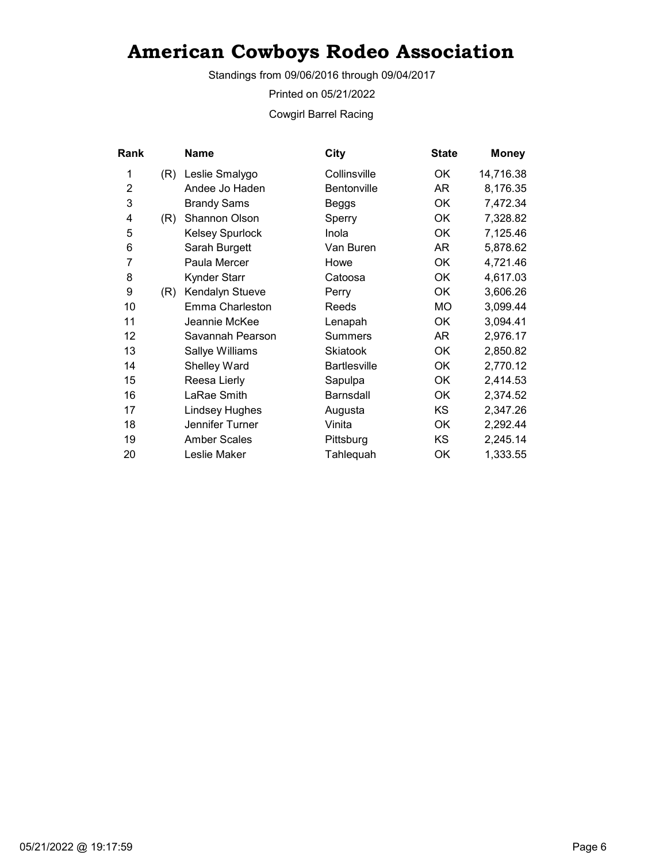Standings from 09/06/2016 through 09/04/2017

Printed on 05/21/2022

Cowgirl Barrel Racing

| Rank           |     | Name                   | City                | <b>State</b> | <b>Money</b> |
|----------------|-----|------------------------|---------------------|--------------|--------------|
| 1              | (R) | Leslie Smalygo         | Collinsville        | OK           | 14,716.38    |
| $\overline{2}$ |     | Andee Jo Haden         | Bentonville         | AR           | 8,176.35     |
| 3              |     | <b>Brandy Sams</b>     | Beggs               | OK           | 7,472.34     |
| 4              | (R) | Shannon Olson          | Sperry              | OK           | 7,328.82     |
| 5              |     | <b>Kelsey Spurlock</b> | Inola               | OK           | 7,125.46     |
| 6              |     | Sarah Burgett          | Van Buren           | AR           | 5,878.62     |
| 7              |     | Paula Mercer           | Howe                | OK           | 4,721.46     |
| 8              |     | Kynder Starr           | Catoosa             | OK           | 4,617.03     |
| 9              | (R) | Kendalyn Stueve        | Perry               | OK           | 3,606.26     |
| 10             |     | Emma Charleston        | Reeds               | МO           | 3,099.44     |
| 11             |     | Jeannie McKee          | Lenapah             | OK           | 3,094.41     |
| 12             |     | Savannah Pearson       | <b>Summers</b>      | AR           | 2,976.17     |
| 13             |     | Sallye Williams        | Skiatook            | <b>OK</b>    | 2,850.82     |
| 14             |     | Shelley Ward           | <b>Bartlesville</b> | OK           | 2,770.12     |
| 15             |     | Reesa Lierly           | Sapulpa             | OK           | 2,414.53     |
| 16             |     | LaRae Smith            | Barnsdall           | OK           | 2,374.52     |
| 17             |     | <b>Lindsey Hughes</b>  | Augusta             | <b>KS</b>    | 2,347.26     |
| 18             |     | Jennifer Turner        | Vinita              | OK           | 2,292.44     |
| 19             |     | <b>Amber Scales</b>    | Pittsburg           | KS           | 2,245.14     |
| 20             |     | Leslie Maker           | Tahlequah           | OK           | 1,333.55     |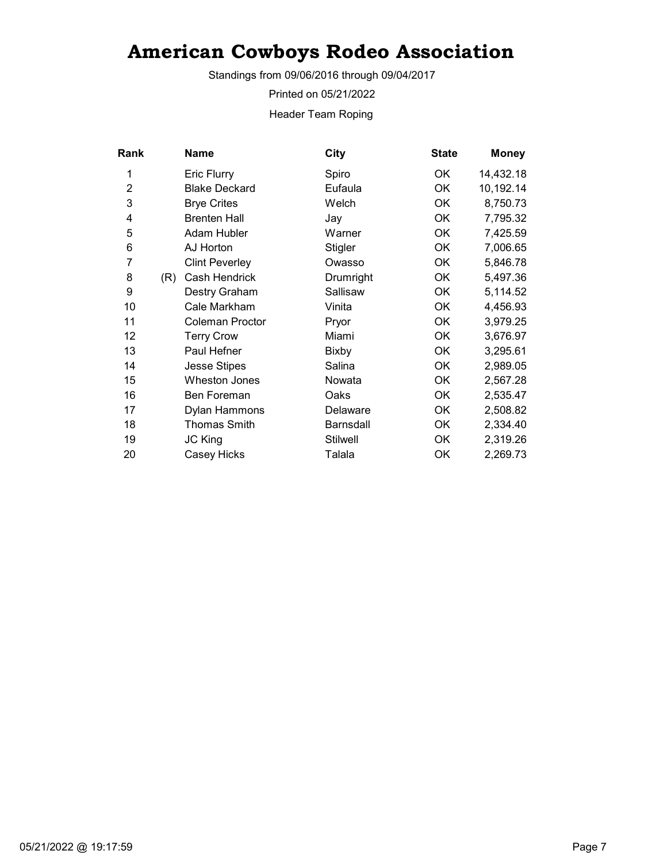Standings from 09/06/2016 through 09/04/2017

Printed on 05/21/2022

Header Team Roping

| Rank           |     | <b>Name</b>           | City            | <b>State</b> | <b>Money</b> |
|----------------|-----|-----------------------|-----------------|--------------|--------------|
| 1              |     | <b>Eric Flurry</b>    | Spiro           | ОK           | 14,432.18    |
| $\overline{2}$ |     | <b>Blake Deckard</b>  | Eufaula         | <b>OK</b>    | 10,192.14    |
| 3              |     | <b>Brye Crites</b>    | Welch           | OK           | 8,750.73     |
| 4              |     | <b>Brenten Hall</b>   | Jay             | ОK           | 7,795.32     |
| 5              |     | Adam Hubler           | Warner          | OK           | 7,425.59     |
| 6              |     | AJ Horton             | <b>Stigler</b>  | <b>OK</b>    | 7,006.65     |
| 7              |     | <b>Clint Peverley</b> | Owasso          | OK           | 5,846.78     |
| 8              | (R) | Cash Hendrick         | Drumright       | <b>OK</b>    | 5,497.36     |
| 9              |     | Destry Graham         | Sallisaw        | 0K           | 5,114.52     |
| 10             |     | Cale Markham          | Vinita          | OK           | 4,456.93     |
| 11             |     | Coleman Proctor       | Pryor           | OK           | 3,979.25     |
| 12             |     | <b>Terry Crow</b>     | Miami           | OK           | 3,676.97     |
| 13             |     | Paul Hefner           | <b>Bixby</b>    | OK           | 3,295.61     |
| 14             |     | <b>Jesse Stipes</b>   | Salina          | OK           | 2,989.05     |
| 15             |     | <b>Wheston Jones</b>  | Nowata          | OK           | 2,567.28     |
| 16             |     | Ben Foreman           | Oaks            | ОK           | 2,535.47     |
| 17             |     | Dylan Hammons         | Delaware        | <b>OK</b>    | 2,508.82     |
| 18             |     | <b>Thomas Smith</b>   | Barnsdall       | OK           | 2,334.40     |
| 19             |     | <b>JC King</b>        | <b>Stilwell</b> | OK           | 2,319.26     |
| 20             |     | Casey Hicks           | Talala          | OK           | 2,269.73     |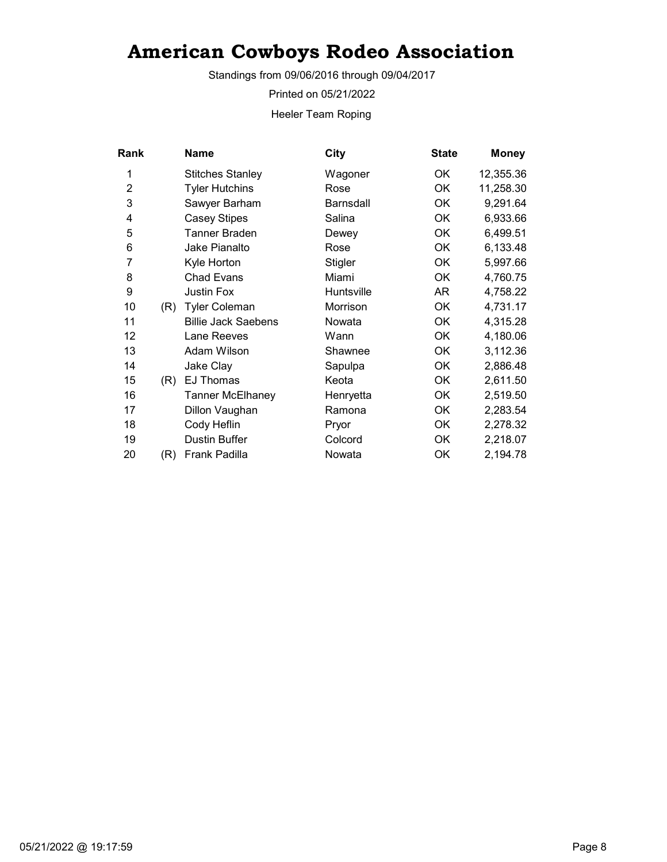Standings from 09/06/2016 through 09/04/2017

Printed on 05/21/2022

Heeler Team Roping

| Rank           |     | Name                       | City             | <b>State</b> | <b>Money</b> |
|----------------|-----|----------------------------|------------------|--------------|--------------|
| 1              |     | <b>Stitches Stanley</b>    | Wagoner          | OK.          | 12,355.36    |
| $\overline{2}$ |     | <b>Tyler Hutchins</b>      | Rose             | OK           | 11,258.30    |
| 3              |     | Sawyer Barham              | <b>Barnsdall</b> | 0K           | 9,291.64     |
| 4              |     | <b>Casey Stipes</b>        | Salina           | OK           | 6,933.66     |
| 5              |     | Tanner Braden              | Dewey            | OK           | 6,499.51     |
| 6              |     | Jake Pianalto              | Rose             | OK           | 6,133.48     |
| 7              |     | Kyle Horton                | Stigler          | OK           | 5,997.66     |
| 8              |     | <b>Chad Evans</b>          | Miami            | 0K           | 4,760.75     |
| 9              |     | Justin Fox                 | Huntsville       | AR           | 4,758.22     |
| 10             | (R) | <b>Tyler Coleman</b>       | Morrison         | OK           | 4,731.17     |
| 11             |     | <b>Billie Jack Saebens</b> | Nowata           | OK           | 4,315.28     |
| 12             |     | Lane Reeves                | Wann             | OK           | 4,180.06     |
| 13             |     | Adam Wilson                | Shawnee          | OK           | 3,112.36     |
| 14             |     | Jake Clay                  | Sapulpa          | OK           | 2,886.48     |
| 15             | (R) | <b>EJ Thomas</b>           | Keota            | OK           | 2,611.50     |
| 16             |     | <b>Tanner McElhaney</b>    | Henryetta        | OK           | 2,519.50     |
| 17             |     | Dillon Vaughan             | Ramona           | OK           | 2,283.54     |
| 18             |     | Cody Heflin                | Pryor            | OK           | 2,278.32     |
| 19             |     | Dustin Buffer              | Colcord          | OK           | 2,218.07     |
| 20             | (R) | Frank Padilla              | Nowata           | OK           | 2,194.78     |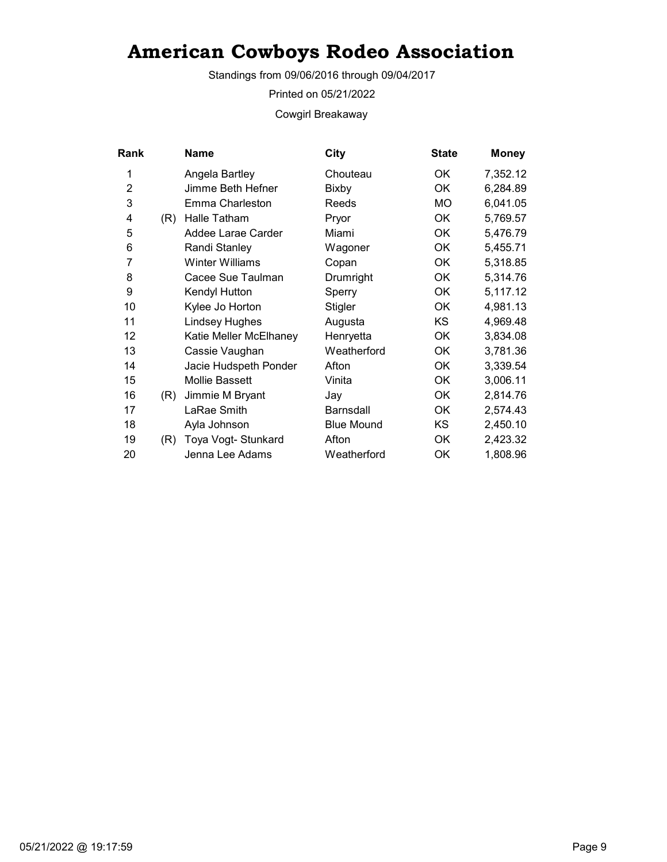Standings from 09/06/2016 through 09/04/2017

Printed on 05/21/2022

Cowgirl Breakaway

| <b>Rank</b>    |     | Name                   | City              | <b>State</b> | <b>Money</b> |
|----------------|-----|------------------------|-------------------|--------------|--------------|
| 1              |     | Angela Bartley         | Chouteau          | ОK           | 7,352.12     |
| $\overline{2}$ |     | Jimme Beth Hefner      | Bixby             | <b>OK</b>    | 6,284.89     |
| 3              |     | Emma Charleston        | Reeds             | МO           | 6,041.05     |
| 4              | (R) | Halle Tatham           | Pryor             | ОK           | 5,769.57     |
| 5              |     | Addee Larae Carder     | Miami             | OK           | 5,476.79     |
| 6              |     | Randi Stanley          | Wagoner           | <b>OK</b>    | 5,455.71     |
| 7              |     | <b>Winter Williams</b> | Copan             | ОK           | 5,318.85     |
| 8              |     | Cacee Sue Taulman      | Drumright         | OK           | 5,314.76     |
| 9              |     | Kendyl Hutton          | Sperry            | ОK           | 5,117.12     |
| 10             |     | Kylee Jo Horton        | Stigler           | <b>OK</b>    | 4,981.13     |
| 11             |     | <b>Lindsey Hughes</b>  | Augusta           | KS           | 4,969.48     |
| 12             |     | Katie Meller McElhaney | Henryetta         | ОK           | 3,834.08     |
| 13             |     | Cassie Vaughan         | Weatherford       | ОK           | 3,781.36     |
| 14             |     | Jacie Hudspeth Ponder  | Afton             | <b>OK</b>    | 3,339.54     |
| 15             |     | <b>Mollie Bassett</b>  | Vinita            | <b>OK</b>    | 3,006.11     |
| 16             | (R) | Jimmie M Bryant        | Jay               | ОK           | 2,814.76     |
| 17             |     | LaRae Smith            | Barnsdall         | ОK           | 2,574.43     |
| 18             |     | Ayla Johnson           | <b>Blue Mound</b> | <b>KS</b>    | 2,450.10     |
| 19             | (R) | Toya Vogt- Stunkard    | Afton             | <b>OK</b>    | 2,423.32     |
| 20             |     | Jenna Lee Adams        | Weatherford       | OK           | 1,808.96     |